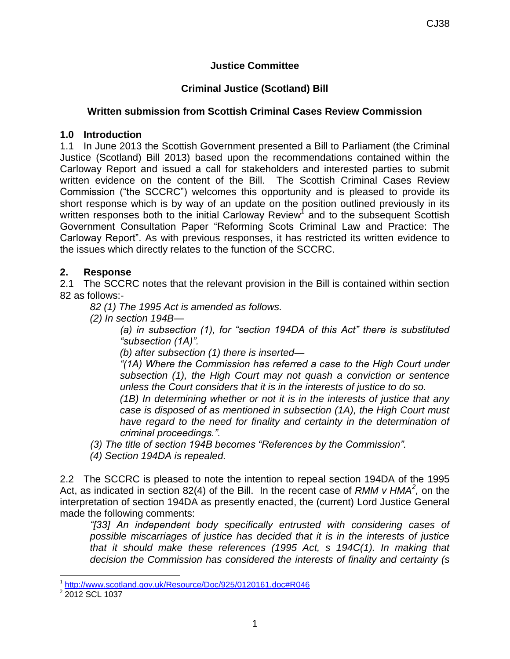# **Justice Committee**

# **Criminal Justice (Scotland) Bill**

### **Written submission from Scottish Criminal Cases Review Commission**

#### **1.0 Introduction**

1.1 In June 2013 the Scottish Government presented a Bill to Parliament (the Criminal Justice (Scotland) Bill 2013) based upon the recommendations contained within the Carloway Report and issued a call for stakeholders and interested parties to submit written evidence on the content of the Bill. The Scottish Criminal Cases Review Commission ("the SCCRC") welcomes this opportunity and is pleased to provide its short response which is by way of an update on the position outlined previously in its written responses both to the initial Carloway Review<sup>1</sup> and to the subsequent Scottish Government Consultation Paper "Reforming Scots Criminal Law and Practice: The Carloway Report". As with previous responses, it has restricted its written evidence to the issues which directly relates to the function of the SCCRC.

# **2. Response**

2.1 The SCCRC notes that the relevant provision in the Bill is contained within section 82 as follows:-

*82 (1) The 1995 Act is amended as follows.*

*(2) In section 194B—*

*(a) in subsection (1), for "section 194DA of this Act" there is substituted "subsection (1A)".*

*(b) after subsection (1) there is inserted—*

*"(1A) Where the Commission has referred a case to the High Court under subsection (1), the High Court may not quash a conviction or sentence unless the Court considers that it is in the interests of justice to do so.*

*(1B) In determining whether or not it is in the interests of justice that any case is disposed of as mentioned in subsection (1A), the High Court must have regard to the need for finality and certainty in the determination of criminal proceedings.".*

*(3) The title of section 194B becomes "References by the Commission".*

*(4) Section 194DA is repealed.*

2.2 The SCCRC is pleased to note the intention to repeal section 194DA of the 1995 Act, as indicated in section 82(4) of the Bill. In the recent case of *RMM v HMA<sup>2</sup>*, on the interpretation of section 194DA as presently enacted, the (current) Lord Justice General made the following comments:

*"[33] An independent body specifically entrusted with considering cases of possible miscarriages of justice has decided that it is in the interests of justice that it should make these references (1995 Act, s 194C(1). In making that decision the Commission has considered the interests of finality and certainty (s* 

 1 <http://www.scotland.gov.uk/Resource/Doc/925/0120161.doc#R046>

<sup>&</sup>lt;sup>2</sup> 2012 SCL 1037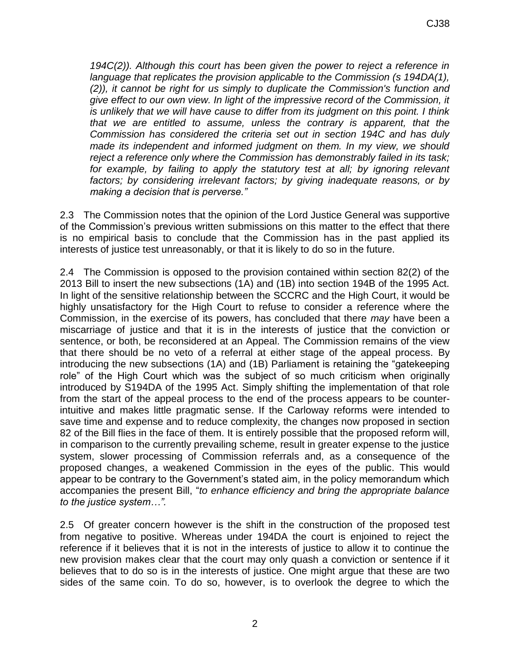*194C(2)). Although this court has been given the power to reject a reference in language that replicates the provision applicable to the Commission (s 194DA(1), (2)), it cannot be right for us simply to duplicate the Commission's function and give effect to our own view. In light of the impressive record of the Commission, it is unlikely that we will have cause to differ from its judgment on this point. I think that we are entitled to assume, unless the contrary is apparent, that the Commission has considered the criteria set out in section 194C and has duly made its independent and informed judgment on them. In my view, we should reject a reference only where the Commission has demonstrably failed in its task;*  for example, by failing to apply the statutory test at all; by ignoring relevant *factors; by considering irrelevant factors; by giving inadequate reasons, or by making a decision that is perverse."* 

2.3 The Commission notes that the opinion of the Lord Justice General was supportive of the Commission's previous written submissions on this matter to the effect that there is no empirical basis to conclude that the Commission has in the past applied its interests of justice test unreasonably, or that it is likely to do so in the future.

2.4 The Commission is opposed to the provision contained within section 82(2) of the 2013 Bill to insert the new subsections (1A) and (1B) into section 194B of the 1995 Act. In light of the sensitive relationship between the SCCRC and the High Court, it would be highly unsatisfactory for the High Court to refuse to consider a reference where the Commission, in the exercise of its powers, has concluded that there *may* have been a miscarriage of justice and that it is in the interests of justice that the conviction or sentence, or both, be reconsidered at an Appeal. The Commission remains of the view that there should be no veto of a referral at either stage of the appeal process. By introducing the new subsections (1A) and (1B) Parliament is retaining the "gatekeeping role" of the High Court which was the subject of so much criticism when originally introduced by S194DA of the 1995 Act. Simply shifting the implementation of that role from the start of the appeal process to the end of the process appears to be counterintuitive and makes little pragmatic sense. If the Carloway reforms were intended to save time and expense and to reduce complexity, the changes now proposed in section 82 of the Bill flies in the face of them. It is entirely possible that the proposed reform will, in comparison to the currently prevailing scheme, result in greater expense to the justice system, slower processing of Commission referrals and, as a consequence of the proposed changes, a weakened Commission in the eyes of the public. This would appear to be contrary to the Government's stated aim, in the policy memorandum which accompanies the present Bill, "*to enhance efficiency and bring the appropriate balance to the justice system…".*

2.5 Of greater concern however is the shift in the construction of the proposed test from negative to positive. Whereas under 194DA the court is enjoined to reject the reference if it believes that it is not in the interests of justice to allow it to continue the new provision makes clear that the court may only quash a conviction or sentence if it believes that to do so is in the interests of justice. One might argue that these are two sides of the same coin. To do so, however, is to overlook the degree to which the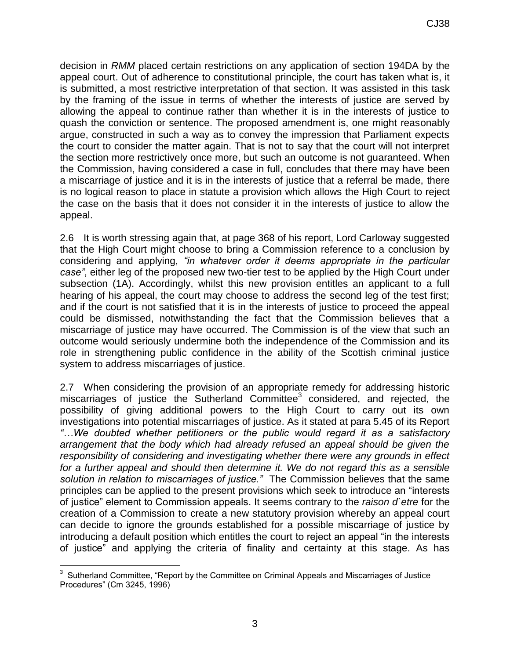decision in *RMM* placed certain restrictions on any application of section 194DA by the appeal court. Out of adherence to constitutional principle, the court has taken what is, it is submitted, a most restrictive interpretation of that section. It was assisted in this task by the framing of the issue in terms of whether the interests of justice are served by allowing the appeal to continue rather than whether it is in the interests of justice to quash the conviction or sentence. The proposed amendment is, one might reasonably argue, constructed in such a way as to convey the impression that Parliament expects the court to consider the matter again. That is not to say that the court will not interpret the section more restrictively once more, but such an outcome is not guaranteed. When the Commission, having considered a case in full, concludes that there may have been a miscarriage of justice and it is in the interests of justice that a referral be made, there is no logical reason to place in statute a provision which allows the High Court to reject the case on the basis that it does not consider it in the interests of justice to allow the appeal.

2.6 It is worth stressing again that, at page 368 of his report, Lord Carloway suggested that the High Court might choose to bring a Commission reference to a conclusion by considering and applying, *"in whatever order it deems appropriate in the particular case"*, either leg of the proposed new two-tier test to be applied by the High Court under subsection (1A). Accordingly, whilst this new provision entitles an applicant to a full hearing of his appeal, the court may choose to address the second leg of the test first; and if the court is not satisfied that it is in the interests of justice to proceed the appeal could be dismissed, notwithstanding the fact that the Commission believes that a miscarriage of justice may have occurred. The Commission is of the view that such an outcome would seriously undermine both the independence of the Commission and its role in strengthening public confidence in the ability of the Scottish criminal justice system to address miscarriages of justice.

2.7 When considering the provision of an appropriate remedy for addressing historic miscarriages of justice the Sutherland Committee $3$  considered, and rejected, the possibility of giving additional powers to the High Court to carry out its own investigations into potential miscarriages of justice. As it stated at para 5.45 of its Report *"…We doubted whether petitioners or the public would regard it as a satisfactory arrangement that the body which had already refused an appeal should be given the responsibility of considering and investigating whether there were any grounds in effect*  for a further appeal and should then determine it. We do not regard this as a sensible *solution in relation to miscarriages of justice."* The Commission believes that the same principles can be applied to the present provisions which seek to introduce an "interests of justice" element to Commission appeals. It seems contrary to the *raison d`etre* for the creation of a Commission to create a new statutory provision whereby an appeal court can decide to ignore the grounds established for a possible miscarriage of justice by introducing a default position which entitles the court to reject an appeal "in the interests of justice" and applying the criteria of finality and certainty at this stage. As has

 $\overline{a}$  $3$  Sutherland Committee, "Report by the Committee on Criminal Appeals and Miscarriages of Justice Procedures" (Cm 3245, 1996)